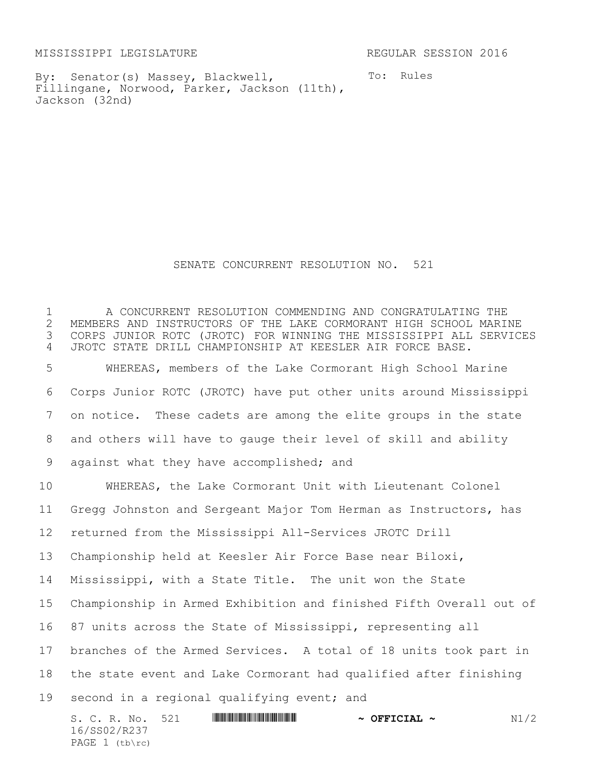MISSISSIPPI LEGISLATURE REGULAR SESSION 2016

PAGE  $1$  (tb\rc)

By: Senator(s) Massey, Blackwell, Fillingane, Norwood, Parker, Jackson (11th), Jackson (32nd)

To: Rules

## SENATE CONCURRENT RESOLUTION NO. 521

S. C. R. No. 521 \*SS02/R237\* **~ OFFICIAL ~** N1/2 16/SS02/R237 1 The CONCURRENT RESOLUTION COMMENDING AND CONGRATULATING THE 2 MEMBERS AND INSTRUCTORS OF THE LAKE CORMORANT HIGH SCHOOL MARI 2 MEMBERS AND INSTRUCTORS OF THE LAKE CORMORANT HIGH SCHOOL MARINE<br>3 CORPS JUNIOR ROTC (JROTC) FOR WINNING THE MISSISSIPPI ALL SERVIC CORPS JUNIOR ROTC (JROTC) FOR WINNING THE MISSISSIPPI ALL SERVICES JROTC STATE DRILL CHAMPIONSHIP AT KEESLER AIR FORCE BASE. WHEREAS, members of the Lake Cormorant High School Marine Corps Junior ROTC (JROTC) have put other units around Mississippi on notice. These cadets are among the elite groups in the state and others will have to gauge their level of skill and ability 9 against what they have accomplished; and WHEREAS, the Lake Cormorant Unit with Lieutenant Colonel Gregg Johnston and Sergeant Major Tom Herman as Instructors, has returned from the Mississippi All-Services JROTC Drill Championship held at Keesler Air Force Base near Biloxi, Mississippi, with a State Title. The unit won the State Championship in Armed Exhibition and finished Fifth Overall out of 87 units across the State of Mississippi, representing all branches of the Armed Services. A total of 18 units took part in the state event and Lake Cormorant had qualified after finishing 19 second in a regional qualifying event; and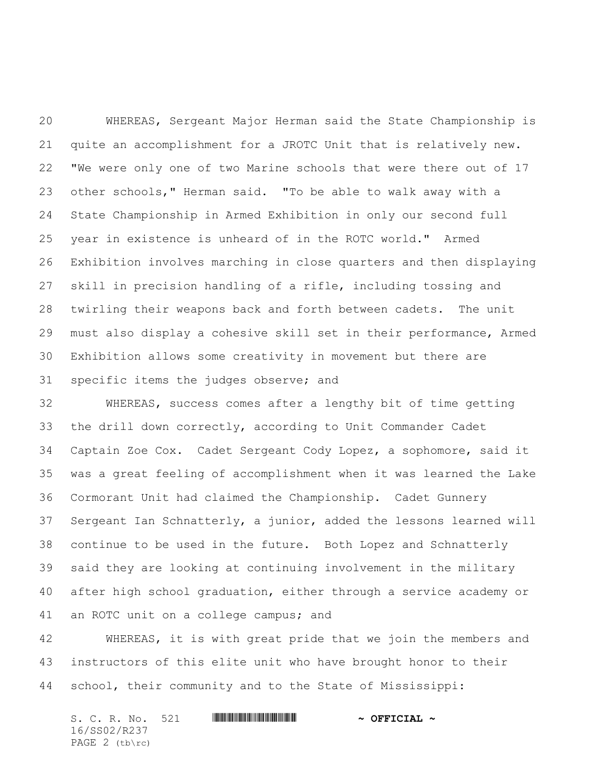WHEREAS, Sergeant Major Herman said the State Championship is quite an accomplishment for a JROTC Unit that is relatively new. "We were only one of two Marine schools that were there out of 17 other schools," Herman said. "To be able to walk away with a State Championship in Armed Exhibition in only our second full year in existence is unheard of in the ROTC world." Armed Exhibition involves marching in close quarters and then displaying skill in precision handling of a rifle, including tossing and twirling their weapons back and forth between cadets. The unit must also display a cohesive skill set in their performance, Armed Exhibition allows some creativity in movement but there are specific items the judges observe; and

 WHEREAS, success comes after a lengthy bit of time getting the drill down correctly, according to Unit Commander Cadet Captain Zoe Cox. Cadet Sergeant Cody Lopez, a sophomore, said it was a great feeling of accomplishment when it was learned the Lake Cormorant Unit had claimed the Championship. Cadet Gunnery Sergeant Ian Schnatterly, a junior, added the lessons learned will continue to be used in the future. Both Lopez and Schnatterly said they are looking at continuing involvement in the military after high school graduation, either through a service academy or an ROTC unit on a college campus; and

 WHEREAS, it is with great pride that we join the members and instructors of this elite unit who have brought honor to their school, their community and to the State of Mississippi:

| S. C. R. No. 521 |  | $\sim$ OFFICIAL $\sim$ |
|------------------|--|------------------------|
| 16/SS02/R237     |  |                        |
| PAGE $2$ (tb\rc) |  |                        |